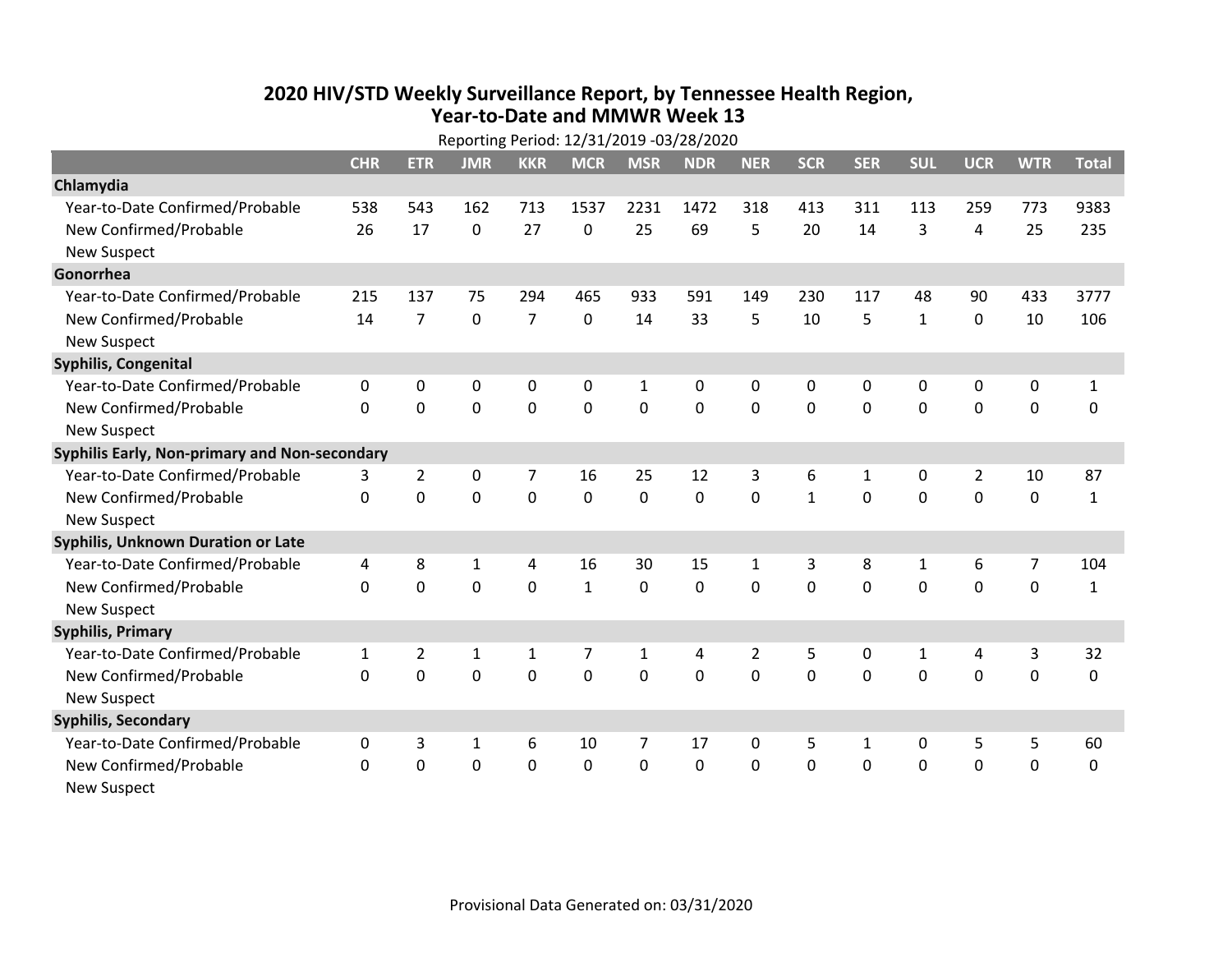## **2020 HIV /STD Weekly Surveillance Report, by Tennessee Health Region, Year‐to‐Date and MMWR Week 13** Reporting Period: 12/31/2019 ‐03/28/2020

| Reporting Period: 12/31/2019 -03/28/2020      |              |                |              |                |                |                |             |                |              |              |              |                |                |              |
|-----------------------------------------------|--------------|----------------|--------------|----------------|----------------|----------------|-------------|----------------|--------------|--------------|--------------|----------------|----------------|--------------|
|                                               | <b>CHR</b>   | <b>ETR</b>     | <b>JMR</b>   | <b>KKR</b>     | <b>MCR</b>     | <b>MSR</b>     | <b>NDR</b>  | <b>NER</b>     | <b>SCR</b>   | <b>SER</b>   | <b>SUL</b>   | <b>UCR</b>     | <b>WTR</b>     | <b>Total</b> |
| Chlamydia                                     |              |                |              |                |                |                |             |                |              |              |              |                |                |              |
| Year-to-Date Confirmed/Probable               | 538          | 543            | 162          | 713            | 1537           | 2231           | 1472        | 318            | 413          | 311          | 113          | 259            | 773            | 9383         |
| New Confirmed/Probable                        | 26           | 17             | $\mathbf 0$  | 27             | 0              | 25             | 69          | 5              | 20           | 14           | 3            | 4              | 25             | 235          |
| <b>New Suspect</b>                            |              |                |              |                |                |                |             |                |              |              |              |                |                |              |
| Gonorrhea                                     |              |                |              |                |                |                |             |                |              |              |              |                |                |              |
| Year-to-Date Confirmed/Probable               | 215          | 137            | 75           | 294            | 465            | 933            | 591         | 149            | 230          | 117          | 48           | 90             | 433            | 3777         |
| New Confirmed/Probable                        | 14           | $\overline{7}$ | 0            | $\overline{7}$ | 0              | 14             | 33          | 5              | 10           | 5            | $\mathbf{1}$ | 0              | 10             | 106          |
| <b>New Suspect</b>                            |              |                |              |                |                |                |             |                |              |              |              |                |                |              |
| <b>Syphilis, Congenital</b>                   |              |                |              |                |                |                |             |                |              |              |              |                |                |              |
| Year-to-Date Confirmed/Probable               | 0            | 0              | 0            | 0              | 0              | $\mathbf{1}$   | 0           | 0              | 0            | 0            | 0            | 0              | 0              | $\mathbf{1}$ |
| New Confirmed/Probable                        | $\Omega$     | $\mathbf 0$    | $\mathbf 0$  | $\mathbf 0$    | $\mathbf 0$    | $\mathbf 0$    | 0           | $\Omega$       | $\Omega$     | $\Omega$     | $\mathbf 0$  | $\mathbf 0$    | $\mathbf 0$    | 0            |
| <b>New Suspect</b>                            |              |                |              |                |                |                |             |                |              |              |              |                |                |              |
| Syphilis Early, Non-primary and Non-secondary |              |                |              |                |                |                |             |                |              |              |              |                |                |              |
| Year-to-Date Confirmed/Probable               | 3            | $\overline{2}$ | 0            | 7              | 16             | 25             | 12          | 3              | 6            | 1            | 0            | $\overline{2}$ | 10             | 87           |
| New Confirmed/Probable                        | $\mathbf{0}$ | $\mathbf 0$    | $\mathbf 0$  | $\overline{0}$ | $\mathbf 0$    | $\mathbf 0$    | 0           | $\Omega$       | $\mathbf{1}$ | $\mathbf 0$  | 0            | 0              | $\mathbf 0$    | $\mathbf{1}$ |
| <b>New Suspect</b>                            |              |                |              |                |                |                |             |                |              |              |              |                |                |              |
| Syphilis, Unknown Duration or Late            |              |                |              |                |                |                |             |                |              |              |              |                |                |              |
| Year-to-Date Confirmed/Probable               | 4            | 8              | 1            | 4              | 16             | 30             | 15          | $\mathbf{1}$   | 3            | 8            | $\mathbf{1}$ | 6              | $\overline{7}$ | 104          |
| New Confirmed/Probable                        | 0            | $\mathbf 0$    | $\mathbf 0$  | $\overline{0}$ | $\mathbf{1}$   | 0              | $\mathbf 0$ | $\Omega$       | $\Omega$     | $\mathbf 0$  | $\mathbf 0$  | $\mathbf 0$    | $\mathbf 0$    | $\mathbf{1}$ |
| <b>New Suspect</b>                            |              |                |              |                |                |                |             |                |              |              |              |                |                |              |
| <b>Syphilis, Primary</b>                      |              |                |              |                |                |                |             |                |              |              |              |                |                |              |
| Year-to-Date Confirmed/Probable               | $\mathbf{1}$ | $\overline{2}$ | 1            | $\mathbf{1}$   | $\overline{7}$ | $\mathbf{1}$   | 4           | $\overline{2}$ | 5            | 0            | 1            | 4              | 3              | 32           |
| New Confirmed/Probable                        | 0            | 0              | $\mathbf 0$  | $\overline{0}$ | $\mathbf 0$    | $\mathbf 0$    | 0           | $\Omega$       | $\Omega$     | 0            | $\mathbf 0$  | $\mathbf 0$    | $\mathbf 0$    | 0            |
| <b>New Suspect</b>                            |              |                |              |                |                |                |             |                |              |              |              |                |                |              |
| <b>Syphilis, Secondary</b>                    |              |                |              |                |                |                |             |                |              |              |              |                |                |              |
| Year-to-Date Confirmed/Probable               | 0            | 3              | $\mathbf{1}$ | 6              | 10             | $\overline{7}$ | 17          | $\mathbf{0}$   | 5            | $\mathbf{1}$ | 0            | 5              | 5              | 60           |
| New Confirmed/Probable                        | 0            | 0              | 0            | $\overline{0}$ | $\mathbf 0$    | 0              | 0           | $\mathbf 0$    | $\Omega$     | 0            | 0            | $\mathbf 0$    | $\mathbf 0$    | 0            |
| <b>New Suspect</b>                            |              |                |              |                |                |                |             |                |              |              |              |                |                |              |